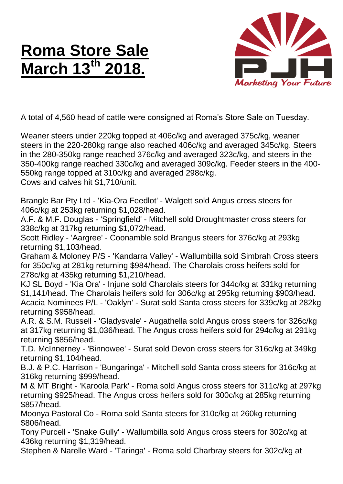## **Roma Store Sale March 13th 2018.**



A total of 4,560 head of cattle were consigned at Roma's Store Sale on Tuesday.

Weaner steers under 220kg topped at 406c/kg and averaged 375c/kg, weaner steers in the 220-280kg range also reached 406c/kg and averaged 345c/kg. Steers in the 280-350kg range reached 376c/kg and averaged 323c/kg, and steers in the 350-400kg range reached 330c/kg and averaged 309c/kg. Feeder steers in the 400- 550kg range topped at 310c/kg and averaged 298c/kg. Cows and calves hit \$1,710/unit.

Brangle Bar Pty Ltd - 'Kia-Ora Feedlot' - Walgett sold Angus cross steers for 406c/kg at 253kg returning \$1,028/head.

A.F. & M.F. Douglas - 'Springfield' - Mitchell sold Droughtmaster cross steers for 338c/kg at 317kg returning \$1,072/head.

Scott Ridley - 'Aargree' - Coonamble sold Brangus steers for 376c/kg at 293kg returning \$1,103/head.

Graham & Moloney P/S - 'Kandarra Valley' - Wallumbilla sold Simbrah Cross steers for 350c/kg at 281kg returning \$984/head. The Charolais cross heifers sold for 278c/kg at 435kg returning \$1,210/head.

KJ SL Boyd - 'Kia Ora' - Injune sold Charolais steers for 344c/kg at 331kg returning \$1,141/head. The Charolais heifers sold for 306c/kg at 295kg returning \$903/head. Acacia Nominees P/L - 'Oaklyn' - Surat sold Santa cross steers for 339c/kg at 282kg returning \$958/head.

A.R. & S.M. Russell - 'Gladysvale' - Augathella sold Angus cross steers for 326c/kg at 317kg returning \$1,036/head. The Angus cross heifers sold for 294c/kg at 291kg returning \$856/head.

T.D. McInnerney - 'Binnowee' - Surat sold Devon cross steers for 316c/kg at 349kg returning \$1,104/head.

B.J. & P.C. Harrison - 'Bungaringa' - Mitchell sold Santa cross steers for 316c/kg at 316kg returning \$999/head.

M & MT Bright - 'Karoola Park' - Roma sold Angus cross steers for 311c/kg at 297kg returning \$925/head. The Angus cross heifers sold for 300c/kg at 285kg returning \$857/head.

Moonya Pastoral Co - Roma sold Santa steers for 310c/kg at 260kg returning \$806/head.

Tony Purcell - 'Snake Gully' - Wallumbilla sold Angus cross steers for 302c/kg at 436kg returning \$1,319/head.

Stephen & Narelle Ward - 'Taringa' - Roma sold Charbray steers for 302c/kg at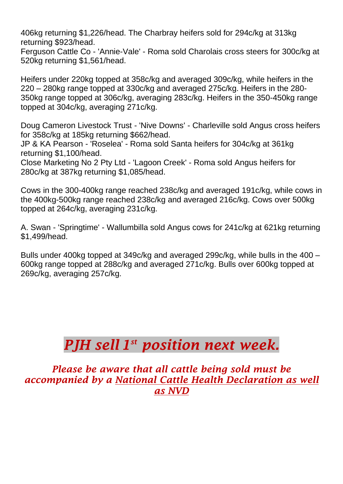406kg returning \$1,226/head. The Charbray heifers sold for 294c/kg at 313kg returning \$923/head.

Ferguson Cattle Co - 'Annie-Vale' - Roma sold Charolais cross steers for 300c/kg at 520kg returning \$1,561/head.

Heifers under 220kg topped at 358c/kg and averaged 309c/kg, while heifers in the 220 – 280kg range topped at 330c/kg and averaged 275c/kg. Heifers in the 280- 350kg range topped at 306c/kg, averaging 283c/kg. Heifers in the 350-450kg range topped at 304c/kg, averaging 271c/kg.

Doug Cameron Livestock Trust - 'Nive Downs' - Charleville sold Angus cross heifers for 358c/kg at 185kg returning \$662/head.

JP & KA Pearson - 'Roselea' - Roma sold Santa heifers for 304c/kg at 361kg returning \$1,100/head.

Close Marketing No 2 Pty Ltd - 'Lagoon Creek' - Roma sold Angus heifers for 280c/kg at 387kg returning \$1,085/head.

Cows in the 300-400kg range reached 238c/kg and averaged 191c/kg, while cows in the 400kg-500kg range reached 238c/kg and averaged 216c/kg. Cows over 500kg topped at 264c/kg, averaging 231c/kg.

A. Swan - 'Springtime' - Wallumbilla sold Angus cows for 241c/kg at 621kg returning \$1,499/head.

Bulls under 400kg topped at 349c/kg and averaged 299c/kg, while bulls in the 400 – 600kg range topped at 288c/kg and averaged 271c/kg. Bulls over 600kg topped at 269c/kg, averaging 257c/kg.

## *PJH sell 1 st position next week.*

*Please be aware that all cattle being sold must be accompanied by a National Cattle Health Declaration as well as NVD*